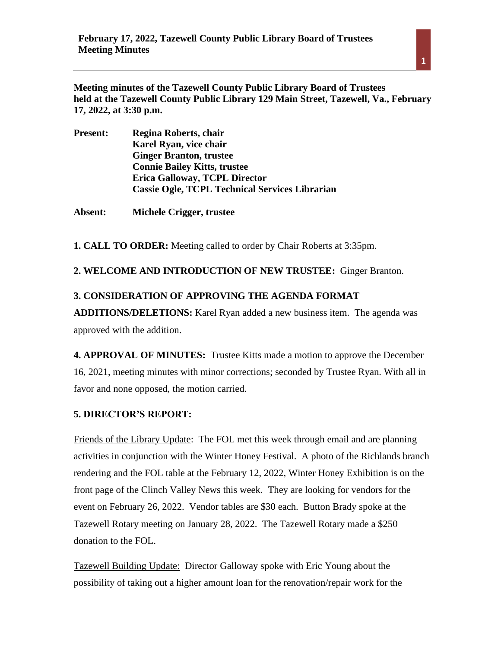**Meeting minutes of the Tazewell County Public Library Board of Trustees held at the Tazewell County Public Library 129 Main Street, Tazewell, Va., February 17, 2022, at 3:30 p.m.** 

| <b>Present:</b> | Regina Roberts, chair                                 |
|-----------------|-------------------------------------------------------|
|                 | Karel Ryan, vice chair                                |
|                 | <b>Ginger Branton, trustee</b>                        |
|                 | <b>Connie Bailey Kitts, trustee</b>                   |
|                 | <b>Erica Galloway, TCPL Director</b>                  |
|                 | <b>Cassie Ogle, TCPL Technical Services Librarian</b> |
|                 |                                                       |

**Absent: Michele Crigger, trustee**

**1. CALL TO ORDER:** Meeting called to order by Chair Roberts at 3:35pm.

**2. WELCOME AND INTRODUCTION OF NEW TRUSTEE:** Ginger Branton.

## **3. CONSIDERATION OF APPROVING THE AGENDA FORMAT**

**ADDITIONS/DELETIONS:** Karel Ryan added a new business item. The agenda was approved with the addition.

**4. APPROVAL OF MINUTES:** Trustee Kitts made a motion to approve the December 16, 2021, meeting minutes with minor corrections; seconded by Trustee Ryan. With all in favor and none opposed, the motion carried.

# **5. DIRECTOR'S REPORT:**

Friends of the Library Update: The FOL met this week through email and are planning activities in conjunction with the Winter Honey Festival. A photo of the Richlands branch rendering and the FOL table at the February 12, 2022, Winter Honey Exhibition is on the front page of the Clinch Valley News this week. They are looking for vendors for the event on February 26, 2022. Vendor tables are \$30 each. Button Brady spoke at the Tazewell Rotary meeting on January 28, 2022. The Tazewell Rotary made a \$250 donation to the FOL.

Tazewell Building Update: Director Galloway spoke with Eric Young about the possibility of taking out a higher amount loan for the renovation/repair work for the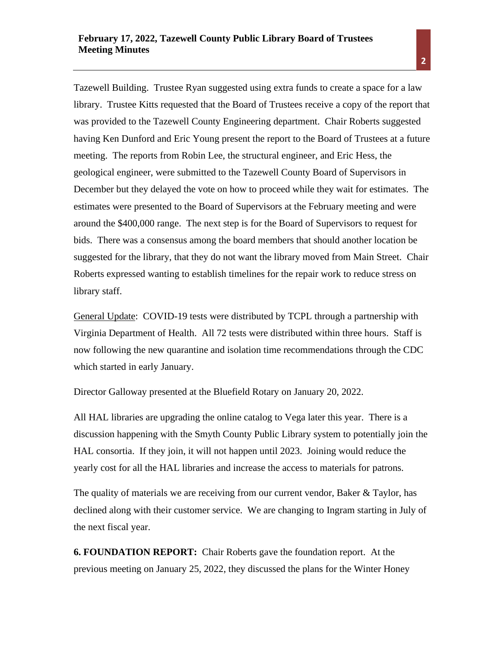Tazewell Building. Trustee Ryan suggested using extra funds to create a space for a law library. Trustee Kitts requested that the Board of Trustees receive a copy of the report that was provided to the Tazewell County Engineering department. Chair Roberts suggested having Ken Dunford and Eric Young present the report to the Board of Trustees at a future meeting. The reports from Robin Lee, the structural engineer, and Eric Hess, the geological engineer, were submitted to the Tazewell County Board of Supervisors in December but they delayed the vote on how to proceed while they wait for estimates. The estimates were presented to the Board of Supervisors at the February meeting and were around the \$400,000 range. The next step is for the Board of Supervisors to request for bids. There was a consensus among the board members that should another location be suggested for the library, that they do not want the library moved from Main Street. Chair Roberts expressed wanting to establish timelines for the repair work to reduce stress on library staff.

General Update: COVID-19 tests were distributed by TCPL through a partnership with Virginia Department of Health. All 72 tests were distributed within three hours. Staff is now following the new quarantine and isolation time recommendations through the CDC which started in early January.

Director Galloway presented at the Bluefield Rotary on January 20, 2022.

All HAL libraries are upgrading the online catalog to Vega later this year. There is a discussion happening with the Smyth County Public Library system to potentially join the HAL consortia. If they join, it will not happen until 2023. Joining would reduce the yearly cost for all the HAL libraries and increase the access to materials for patrons.

The quality of materials we are receiving from our current vendor, Baker  $\&$  Taylor, has declined along with their customer service. We are changing to Ingram starting in July of the next fiscal year.

**6. FOUNDATION REPORT:** Chair Roberts gave the foundation report. At the previous meeting on January 25, 2022, they discussed the plans for the Winter Honey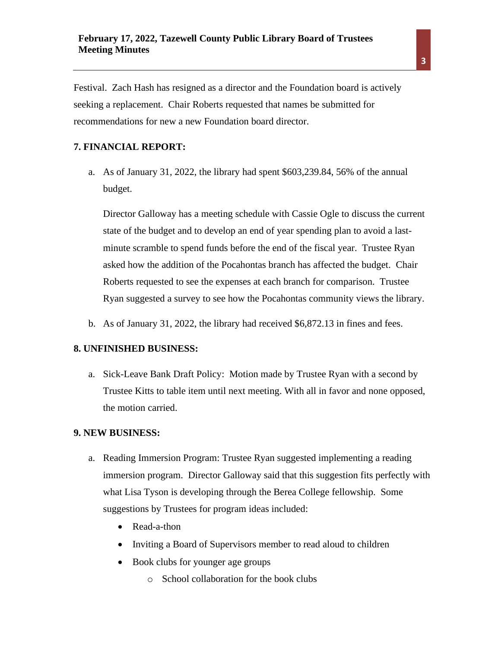Festival. Zach Hash has resigned as a director and the Foundation board is actively seeking a replacement. Chair Roberts requested that names be submitted for recommendations for new a new Foundation board director.

# **7. FINANCIAL REPORT:**

a. As of January 31, 2022, the library had spent \$603,239.84, 56% of the annual budget.

Director Galloway has a meeting schedule with Cassie Ogle to discuss the current state of the budget and to develop an end of year spending plan to avoid a lastminute scramble to spend funds before the end of the fiscal year. Trustee Ryan asked how the addition of the Pocahontas branch has affected the budget. Chair Roberts requested to see the expenses at each branch for comparison. Trustee Ryan suggested a survey to see how the Pocahontas community views the library.

b. As of January 31, 2022, the library had received \$6,872.13 in fines and fees.

#### **8. UNFINISHED BUSINESS:**

a. Sick-Leave Bank Draft Policy: Motion made by Trustee Ryan with a second by Trustee Kitts to table item until next meeting. With all in favor and none opposed, the motion carried.

#### **9. NEW BUSINESS:**

- a. Reading Immersion Program: Trustee Ryan suggested implementing a reading immersion program. Director Galloway said that this suggestion fits perfectly with what Lisa Tyson is developing through the Berea College fellowship. Some suggestions by Trustees for program ideas included:
	- Read-a-thon
	- Inviting a Board of Supervisors member to read aloud to children
	- Book clubs for younger age groups
		- o School collaboration for the book clubs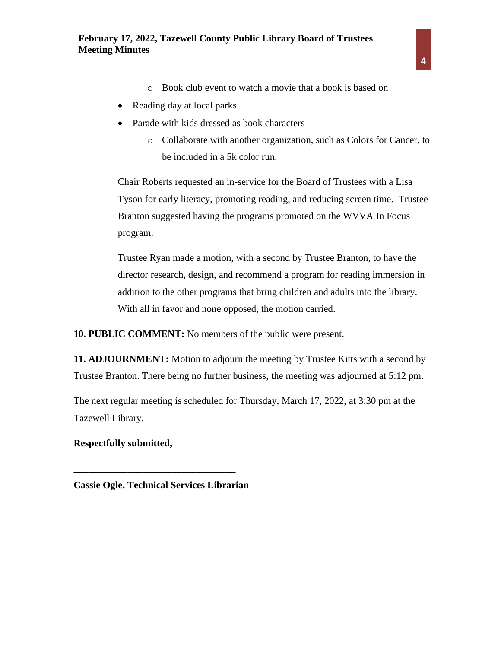- o Book club event to watch a movie that a book is based on
- Reading day at local parks
- Parade with kids dressed as book characters
	- o Collaborate with another organization, such as Colors for Cancer, to be included in a 5k color run.

Chair Roberts requested an in-service for the Board of Trustees with a Lisa Tyson for early literacy, promoting reading, and reducing screen time. Trustee Branton suggested having the programs promoted on the WVVA In Focus program.

Trustee Ryan made a motion, with a second by Trustee Branton, to have the director research, design, and recommend a program for reading immersion in addition to the other programs that bring children and adults into the library. With all in favor and none opposed, the motion carried.

**10. PUBLIC COMMENT:** No members of the public were present.

**11. ADJOURNMENT:** Motion to adjourn the meeting by Trustee Kitts with a second by Trustee Branton. There being no further business, the meeting was adjourned at 5:12 pm.

The next regular meeting is scheduled for Thursday, March 17, 2022, at 3:30 pm at the Tazewell Library.

**Respectfully submitted,** 

**Cassie Ogle, Technical Services Librarian**

**\_\_\_\_\_\_\_\_\_\_\_\_\_\_\_\_\_\_\_\_\_\_\_\_\_\_\_\_\_\_\_\_\_**